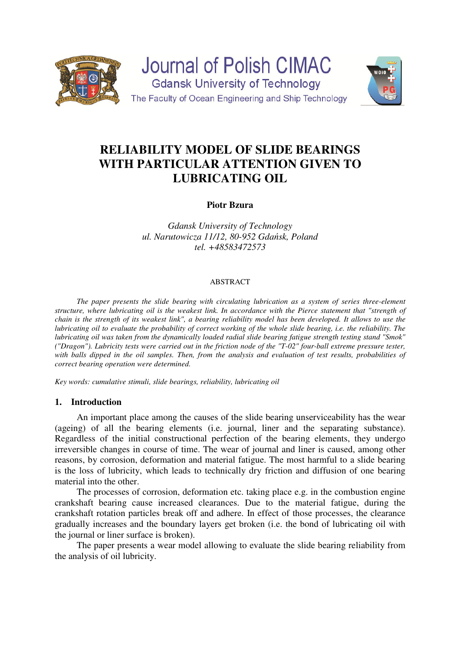



# **RELIABILITY MODEL OF SLIDE BEARINGS WITH PARTICULAR ATTENTION GIVEN TO LUBRICATING OIL**

**Piotr Bzura** 

*Gdansk University of Technology ul. Narutowicza 11/12, 80-952 Gdańsk, Poland tel. +48583472573* 

#### ABSTRACT

*The paper presents the slide bearing with circulating lubrication as a system of series three-element structure, where lubricating oil is the weakest link. In accordance with the Pierce statement that "strength of chain is the strength of its weakest link", a bearing reliability model has been developed. It allows to use the lubricating oil to evaluate the probability of correct working of the whole slide bearing, i.e. the reliability. The lubricating oil was taken from the dynamically loaded radial slide bearing fatigue strength testing stand "Smok" ("Dragon"). Lubricity tests were carried out in the friction node of the "T-02" four-ball extreme pressure tester,*  with balls dipped in the oil samples. Then, from the analysis and evaluation of test results, probabilities of *correct bearing operation were determined.* 

*Key words: cumulative stimuli, slide bearings, reliability, lubricating oil* 

## **1. Introduction**

 An important place among the causes of the slide bearing unserviceability has the wear (ageing) of all the bearing elements (i.e. journal, liner and the separating substance). Regardless of the initial constructional perfection of the bearing elements, they undergo irreversible changes in course of time. The wear of journal and liner is caused, among other reasons, by corrosion, deformation and material fatigue. The most harmful to a slide bearing is the loss of lubricity, which leads to technically dry friction and diffusion of one bearing material into the other.

 The processes of corrosion, deformation etc. taking place e.g. in the combustion engine crankshaft bearing cause increased clearances. Due to the material fatigue, during the crankshaft rotation particles break off and adhere. In effect of those processes, the clearance gradually increases and the boundary layers get broken (i.e. the bond of lubricating oil with the journal or liner surface is broken).

 The paper presents a wear model allowing to evaluate the slide bearing reliability from the analysis of oil lubricity.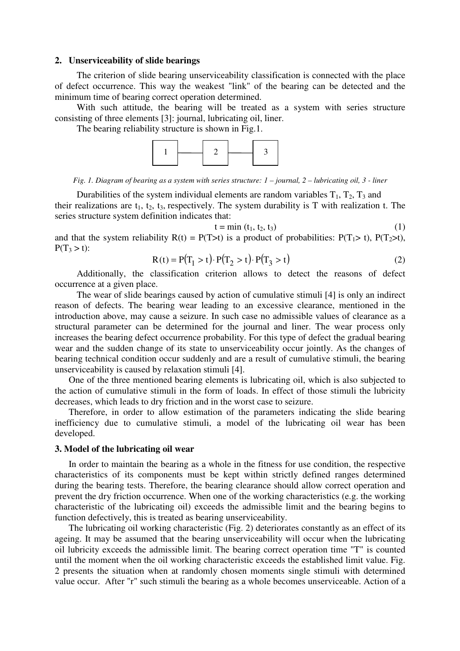#### **2. Unserviceability of slide bearings**

 The criterion of slide bearing unserviceability classification is connected with the place of defect occurrence. This way the weakest "link" of the bearing can be detected and the minimum time of bearing correct operation determined.

 With such attitude, the bearing will be treated as a system with series structure consisting of three elements [3]: journal, lubricating oil, liner.

The bearing reliability structure is shown in Fig.1.



*Fig. 1. Diagram of bearing as a system with series structure: 1 – journal, 2 – lubricating oil, 3 - liner* 

Durabilities of the system individual elements are random variables  $T_1$ ,  $T_2$ ,  $T_3$  and their realizations are  $t_1$ ,  $t_2$ ,  $t_3$ , respectively. The system durability is T with realization t. The series structure system definition indicates that:

$$
t = \min(t_1, t_2, t_3) \tag{1}
$$

and that the system reliability  $R(t) = P(T>t)$  is a product of probabilities:  $P(T_1 > t)$ ,  $P(T_2 > t)$ ,  $P(T_3 > t)$ :

$$
R(t) = P(T_1 > t) \cdot P(T_2 > t) \cdot P(T_3 > t)
$$
\n(2)

 Additionally, the classification criterion allows to detect the reasons of defect occurrence at a given place.

 The wear of slide bearings caused by action of cumulative stimuli [4] is only an indirect reason of defects. The bearing wear leading to an excessive clearance, mentioned in the introduction above, may cause a seizure. In such case no admissible values of clearance as a structural parameter can be determined for the journal and liner. The wear process only increases the bearing defect occurrence probability. For this type of defect the gradual bearing wear and the sudden change of its state to unserviceability occur jointly. As the changes of bearing technical condition occur suddenly and are a result of cumulative stimuli, the bearing unserviceability is caused by relaxation stimuli [4].

 One of the three mentioned bearing elements is lubricating oil, which is also subjected to the action of cumulative stimuli in the form of loads. In effect of those stimuli the lubricity decreases, which leads to dry friction and in the worst case to seizure.

 Therefore, in order to allow estimation of the parameters indicating the slide bearing inefficiency due to cumulative stimuli, a model of the lubricating oil wear has been developed.

#### **3. Model of the lubricating oil wear**

 In order to maintain the bearing as a whole in the fitness for use condition, the respective characteristics of its components must be kept within strictly defined ranges determined during the bearing tests. Therefore, the bearing clearance should allow correct operation and prevent the dry friction occurrence. When one of the working characteristics (e.g. the working characteristic of the lubricating oil) exceeds the admissible limit and the bearing begins to function defectively, this is treated as bearing unserviceability.

 The lubricating oil working characteristic (Fig. 2) deteriorates constantly as an effect of its ageing. It may be assumed that the bearing unserviceability will occur when the lubricating oil lubricity exceeds the admissible limit. The bearing correct operation time "T" is counted until the moment when the oil working characteristic exceeds the established limit value. Fig. 2 presents the situation when at randomly chosen moments single stimuli with determined value occur. After "r" such stimuli the bearing as a whole becomes unserviceable. Action of a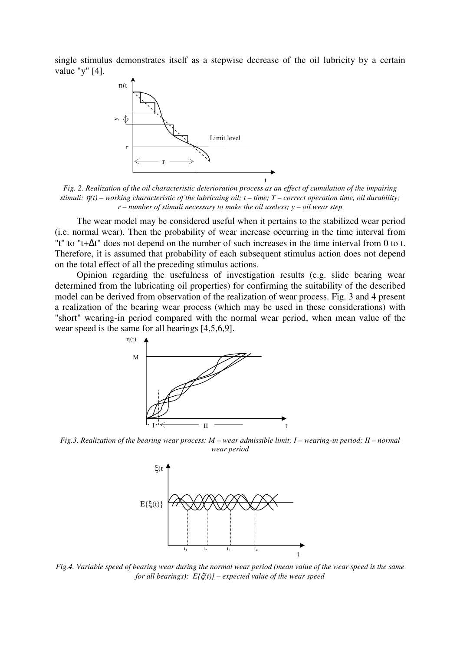single stimulus demonstrates itself as a stepwise decrease of the oil lubricity by a certain value "y" [4].



*Fig. 2. Realization of the oil characteristic deterioration process as an effect of cumulation of the impairing stimuli:* η*(t) – working characteristic of the lubricaing oil; t – time; T – correct operation time, oil durability; r – number of stimuli necessary to make the oil useless; y – oil wear step* 

 The wear model may be considered useful when it pertains to the stabilized wear period (i.e. normal wear). Then the probability of wear increase occurring in the time interval from "t" to "t+∆t" does not depend on the number of such increases in the time interval from 0 to t. Therefore, it is assumed that probability of each subsequent stimulus action does not depend on the total effect of all the preceding stimulus actions.

 Opinion regarding the usefulness of investigation results (e.g. slide bearing wear determined from the lubricating oil properties) for confirming the suitability of the described model can be derived from observation of the realization of wear process. Fig. 3 and 4 present a realization of the bearing wear process (which may be used in these considerations) with "short" wearing-in period compared with the normal wear period, when mean value of the wear speed is the same for all bearings [4,5,6,9].



*Fig.3. Realization of the bearing wear process: M – wear admissible limit; I – wearing-in period; II – normal wear period* 



*Fig.4. Variable speed of bearing wear during the normal wear period (mean value of the wear speed is the same for all bearings); E{*ξ*(t)} – expected value of the wear speed*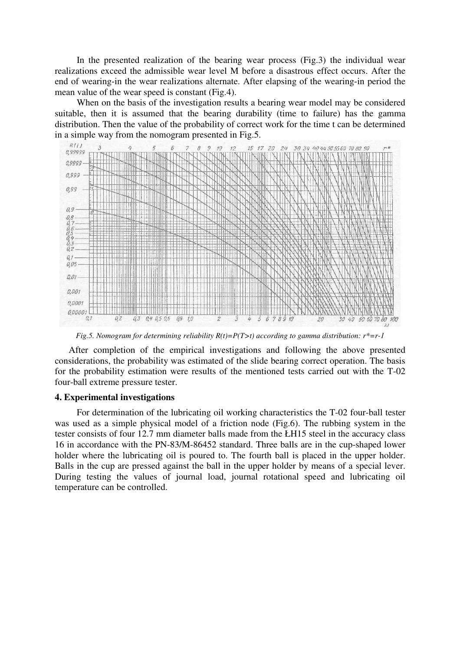In the presented realization of the bearing wear process (Fig.3) the individual wear realizations exceed the admissible wear level M before a disastrous effect occurs. After the end of wearing-in the wear realizations alternate. After elapsing of the wearing-in period the mean value of the wear speed is constant (Fig.4).

 When on the basis of the investigation results a bearing wear model may be considered suitable, then it is assumed that the bearing durability (time to failure) has the gamma distribution. Then the value of the probability of correct work for the time t can be determined in a simple way from the nomogram presented in Fig.5.



*Fig.5. Nomogram for determining reliability R(t)=P(T>t) according to gamma distribution: r\*=r-1* 

 After completion of the empirical investigations and following the above presented considerations, the probability was estimated of the slide bearing correct operation. The basis for the probability estimation were results of the mentioned tests carried out with the T-02 four-ball extreme pressure tester.

### **4. Experimental investigations**

 For determination of the lubricating oil working characteristics the T-02 four-ball tester was used as a simple physical model of a friction node (Fig.6). The rubbing system in the tester consists of four 12.7 mm diameter balls made from the ŁH15 steel in the accuracy class 16 in accordance with the PN-83/M-86452 standard. Three balls are in the cup-shaped lower holder where the lubricating oil is poured to. The fourth ball is placed in the upper holder. Balls in the cup are pressed against the ball in the upper holder by means of a special lever. During testing the values of journal load, journal rotational speed and lubricating oil temperature can be controlled.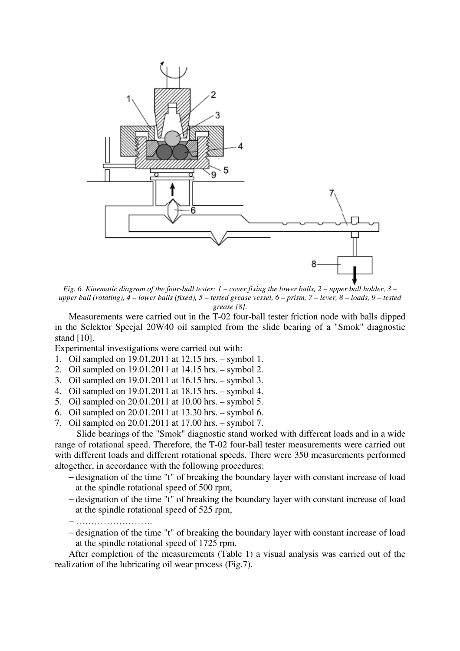

*Fig. 6. Kinematic diagram of the four-ball tester: 1 – cover fixing the lower balls, 2 – upper ball holder, 3 – upper ball (rotating), 4 – lower balls (fixed), 5 – tested grease vessel, 6 – prism, 7 – lever, 8 – loads, 9 – tested grease [8].* 

 Measurements were carried out in the T-02 four-ball tester friction node with balls dipped in the Selektor Specjal 20W40 oil sampled from the slide bearing of a "Smok" diagnostic stand [10].

Experimental investigations were carried out with:

- 1. Oil sampled on 19.01.2011 at 12.15 hrs. symbol 1.
- 2. Oil sampled on 19.01.2011 at 14.15 hrs. symbol 2.
- 3. Oil sampled on 19.01.2011 at 16.15 hrs. symbol 3.
- 4. Oil sampled on 19.01.2011 at 18.15 hrs. symbol 4.
- 5. Oil sampled on 20.01.2011 at 10.00 hrs. symbol 5.
- 6. Oil sampled on 20.01.2011 at 13.30 hrs. symbol 6.
- 7. Oil sampled on 20.01.2011 at 17.00 hrs. symbol 7.

 Slide bearings of the "Smok" diagnostic stand worked with different loads and in a wide range of rotational speed. Therefore, the T-02 four-ball tester measurements were carried out with different loads and different rotational speeds. There were 350 measurements performed altogether, in accordance with the following procedures:

- − designation of the time "t" of breaking the boundary layer with constant increase of load at the spindle rotational speed of 500 rpm,
- − designation of the time "t" of breaking the boundary layer with constant increase of load at the spindle rotational speed of 525 rpm,
- − …………………….
- − designation of the time "t" of breaking the boundary layer with constant increase of load at the spindle rotational speed of 1725 rpm.

 After completion of the measurements (Table 1) a visual analysis was carried out of the realization of the lubricating oil wear process (Fig.7).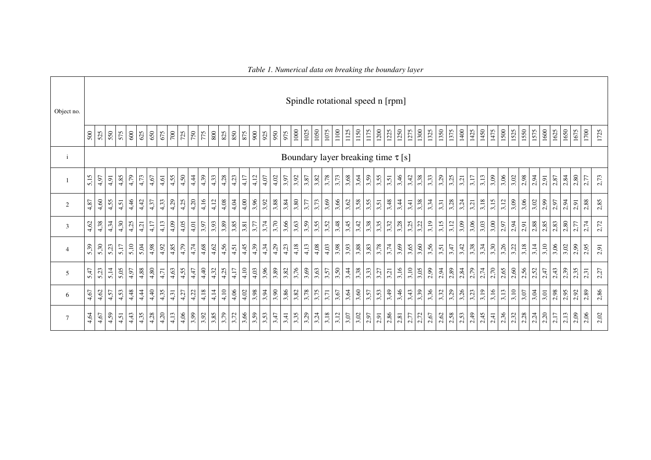| Object no.     |      |                                         |      |      |         |      |      |      |      |                   |        |                  |      |      |      |                |      |      |      |      |      |      |      |      |      |                  |      | Spindle rotational speed n [rpm] |      |      |       |                  |      |      |      |      |      |      |      |      |      |                     |                     |      |      |      |      |                     |      |      |
|----------------|------|-----------------------------------------|------|------|---------|------|------|------|------|-------------------|--------|------------------|------|------|------|----------------|------|------|------|------|------|------|------|------|------|------------------|------|----------------------------------|------|------|-------|------------------|------|------|------|------|------|------|------|------|------|---------------------|---------------------|------|------|------|------|---------------------|------|------|
|                | 500  | 525                                     | 550  | 575  | $600\,$ | 625  | 650  |      |      | $\frac{675}{700}$ |        | $\frac{008}{54}$ |      | 825  |      | 875            |      | 925  | 950  | 975  | 1000 | 1025 | 1050 | 1075 | 1100 | 1125             | 1150 | 1175                             | 1200 | 1225 | 1250  | 1275<br>1300     |      | 1325 | 1350 | 1375 | 1400 | 1425 | 1450 | 1475 |      |                     | $\frac{1500}{1525}$ | 1575 | 1600 | 1625 | 1650 | 1675                | 1700 | 1725 |
| $\mathbf{i}$   |      | Boundary layer breaking time $\tau$ [s] |      |      |         |      |      |      |      |                   |        |                  |      |      |      |                |      |      |      |      |      |      |      |      |      |                  |      |                                  |      |      |       |                  |      |      |      |      |      |      |      |      |      |                     |                     |      |      |      |      |                     |      |      |
|                | 5,15 | 4,97                                    | 4,91 | 4,85 | 4,79    | 4,73 | 4,67 | 4,61 | 4,55 | 4,50              | 4,44   | 4,39             | 4,33 | 4,28 | 4,23 | 4,17           | 4,12 | 4,07 | 4,02 | 3,97 | 3,92 | 3,87 | 3,82 | 3,78 | 3,73 | 3,68             | 3,64 | 3,59                             | 3,55 | 3,51 | 3,46  | $3,42$<br>$3,38$ |      | 3,33 | 3,29 | 3,25 | 3,21 | 3,17 | 3,13 | 3,09 | 3,06 | $3,02$              | 2,98                | 2,94 | 2,91 | 2,87 | 2,84 | $\frac{2,80}{2,77}$ |      | 2,73 |
| $\mathbf{2}$   | 4,87 | 4,60                                    | 4,55 | 4,51 | 4,46    | 4,42 | 4,37 | 4,33 | 4,29 | 4,25              | 4,20   | 4,16             | 4,12 | 4,08 | 4,04 | 4,00           | 3,96 | 3,92 | 3,88 | 3,84 | 3,80 | 3,77 | 3,73 | 3,69 | 3,66 | 3,62             | 3,58 | 3,55                             | 3,51 | 3,48 | 3,44  | 3,41             | 3,38 | 3,34 | 3,31 | 3,28 | 3,24 | 3,21 | 3,18 | 3,15 | 3,12 | 3,09                | 3,06                | 3,02 | 2,99 | 2,97 | 2,94 | 2,91                | 2,88 | 2,85 |
| 3              | 4,62 | 4,38                                    | 4,34 | 4,30 | 4,25    | 4,21 | 4,17 | 4,13 | 4,09 | 4,05              | $4,01$ | 3,97             | 3,93 | 3,89 | 3,85 | 3,81           | 3,77 | 3,74 | 3,70 | 3,66 | 3,63 | 3,59 | 3,55 | 3,52 | 3,48 | 3,45             | 3,42 | 3,38                             | 3,35 | 3,32 | 3,28  | 3,22             |      | 3,19 | 3,15 | 3,12 | 3,09 | 3,06 | 3,03 | 3,00 | 2.97 | 2,94                | 2,91                | 2,88 | 2,85 | 2,83 | 2,80 | $2.77$              | 2,74 | 2.72 |
| $\overline{4}$ | 5,39 | 5,30                                    | 5,23 | 5,17 | 5,10    | 5,04 | 4,98 | 4,92 | 4,85 | 4,79              | 4,74   | 4,68             | 4,62 | 4,56 | 4,51 | 4,45           | 4,39 | 4,34 | 4,29 | 4,23 | 4,18 | 4,13 | 4,08 | 4,03 | 3,98 | 3,93             | 3,88 | 3,83                             | 3,78 | 3,74 | 3,69  | 3,65             | 3,60 | 3,56 | 3,51 | 3,47 | 3,42 | 3,38 | 3,34 | 3,30 | 3,26 | $\frac{3,22}{3,18}$ |                     | 3,14 | 3,10 | 3,06 | 3,02 | 2,99                | 2,95 | 2,91 |
| 5              | 5,47 | 5,23                                    | 5,14 | 5,05 | 4,97    | 4,88 | 4,80 | 4,71 | 4,63 | 4,55              | 4,47   | 4,40             | 4,32 | 4,25 | 4,17 | 4,10           | 4,03 | 3,96 | 3,89 | 3,82 | 3,76 | 3,69 | 3,63 | 3,57 |      | $3,50$<br>$3,44$ | 3,38 | 3,33                             | 3,27 | 3,21 | 3,16  | $3,10$<br>$3,05$ |      | 2,99 | 2,94 | 2,89 | 2,84 | 2,79 | 2,74 | 2,70 | 2,65 |                     | 2,56                | 2,52 | 2,47 | 2,43 | 2,39 | $\frac{2,35}{2,31}$ |      | 2,27 |
| 6              | 4,67 | 4,62                                    | 4,57 | 4,53 | 4,48    | 4,44 | 4,40 | 4,35 | 4,31 | 4,27              | 4,22   | 4,18             | 4,14 | 4,10 | 4,06 | $4,02$<br>3,98 |      | 3,94 | 3,90 | 3,86 | 3,82 | 3,78 | 3,75 | 3,71 | 3,67 | 3,64             | 3,60 | $\frac{3,57}{3,53}$              |      | 3,49 | 3,46  | 3,39             |      | 3,36 | 3,32 | 3,29 | 3,26 | 3,23 | 3,19 | 3,16 | 3,13 | 3,10                | 3,07                | 3,04 | 3,01 | 2,98 | 2,95 | 2,92                | 2,89 | 2,86 |
| $\tau$         | 4,64 | 4,67                                    | 4,59 | 4,51 | 4,43    | 4,35 | 4,28 | 4,20 | 4,13 | 4,06              | 3,99   | 3,92             | 3,85 | 3,79 | 3,72 | 3,66           | 3,59 | 3,53 | 3,47 | 3,41 | 3,35 | 3,29 | 3,24 | 3,18 | 3,12 | 3,07             | 3,02 | 2.97                             | 2,91 | 2,86 | 2, 81 | $2.77$           | 2,72 | 2,67 | 2,62 | 2,58 | 2,53 | 2,49 | 2,45 | 2,41 |      | $2,36$<br>$2,32$    | 2,28                | 2,24 | 2,20 | 2,17 | 2,13 | 2,09                | 2,06 | 2,02 |

*Table 1. Numerical data on breaking the boundary layer*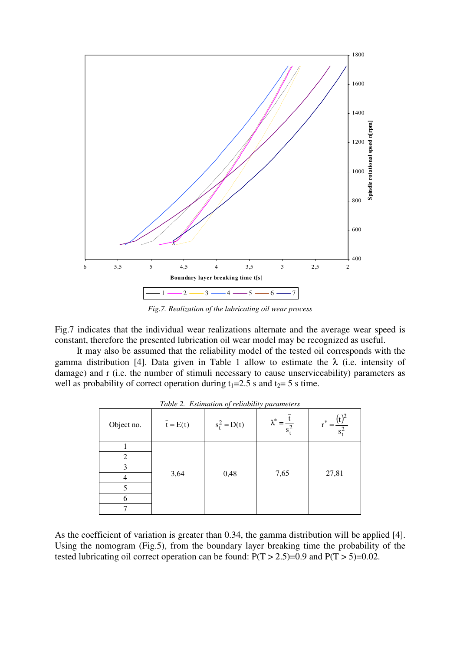

*Fig.7. Realization of the lubricating oil wear process* 

Fig.7 indicates that the individual wear realizations alternate and the average wear speed is constant, therefore the presented lubrication oil wear model may be recognized as useful.

 It may also be assumed that the reliability model of the tested oil corresponds with the gamma distribution [4]. Data given in Table 1 allow to estimate the  $\lambda$  (i.e. intensity of damage) and r (i.e. the number of stimuli necessary to cause unserviceability) parameters as well as probability of correct operation during  $t_1=2.5$  s and  $t_2=5$  s time.

|            |                  | <i>raole</i> <b>2.</b> <i>Estimation of retail they parameters</i> |                                         |                                   |
|------------|------------------|--------------------------------------------------------------------|-----------------------------------------|-----------------------------------|
| Object no. | $\bar{t} = E(t)$ | $s_t^2 = D(t)$                                                     | $\lambda^*$<br>$\overline{s_{\star}^2}$ | $r^*$<br>$\overline{s_{\rm t}^2}$ |
|            |                  |                                                                    |                                         |                                   |
| 2          |                  |                                                                    |                                         |                                   |
| 3          |                  |                                                                    |                                         |                                   |
|            | 3,64             | 0,48                                                               | 7,65                                    | 27,81                             |
|            |                  |                                                                    |                                         |                                   |
| 6          |                  |                                                                    |                                         |                                   |
|            |                  |                                                                    |                                         |                                   |

*Table 2. Estimation of reliability parameters* 

As the coefficient of variation is greater than 0.34, the gamma distribution will be applied [4]. Using the nomogram (Fig.5), from the boundary layer breaking time the probability of the tested lubricating oil correct operation can be found:  $P(T > 2.5)=0.9$  and  $P(T > 5)=0.02$ .